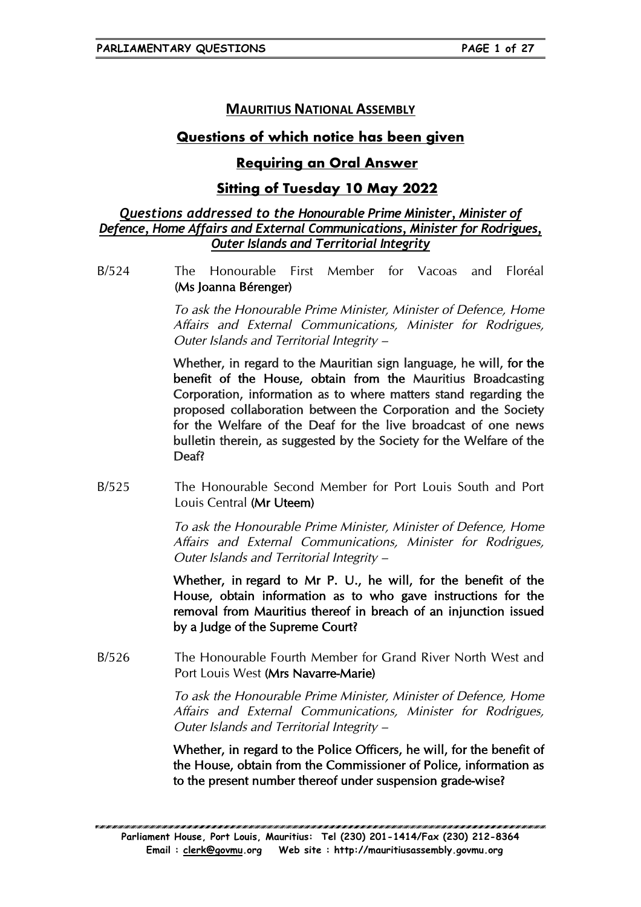# **MAURITIUS NATIONAL ASSEMBLY**

# **Questions of which notice has been given**

# **Requiring an Oral Answer**

# **Sitting of Tuesday 10 May 2022**

## *Questions addressed to the Honourable Prime Minister, Minister of Defence, Home Affairs and External Communications, Minister for Rodrigues, Outer Islands and Territorial Integrity*

B/524 The Honourable First Member for Vacoas and Floréal (Ms Joanna Bérenger)

> To ask the Honourable Prime Minister, Minister of Defence, Home Affairs and External Communications, Minister for Rodrigues, Outer Islands and Territorial Integrity –

> Whether, in regard to the Mauritian sign language, he will, for the benefit of the House, obtain from the Mauritius Broadcasting Corporation, information as to where matters stand regarding the proposed collaboration between the Corporation and the Society for the Welfare of the Deaf for the live broadcast of one news bulletin therein, as suggested by the Society for the Welfare of the Deaf?

B/525 The Honourable Second Member for Port Louis South and Port Louis Central (Mr Uteem)

> To ask the Honourable Prime Minister, Minister of Defence, Home Affairs and External Communications, Minister for Rodrigues, Outer Islands and Territorial Integrity –

> Whether, in regard to Mr P. U., he will, for the benefit of the House, obtain information as to who gave instructions for the removal from Mauritius thereof in breach of an injunction issued by a Judge of the Supreme Court?

B/526 The Honourable Fourth Member for Grand River North West and Port Louis West (Mrs Navarre-Marie)

> To ask the Honourable Prime Minister, Minister of Defence, Home Affairs and External Communications, Minister for Rodrigues, Outer Islands and Territorial Integrity –

> Whether, in regard to the Police Officers, he will, for the benefit of the House, obtain from the Commissioner of Police, information as to the present number thereof under suspension grade-wise?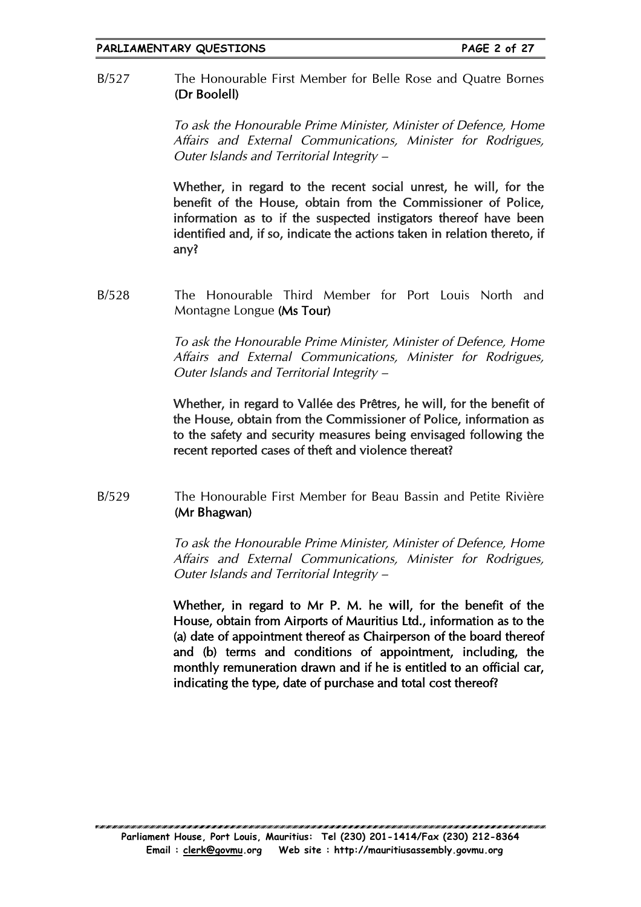B/527 The Honourable First Member for Belle Rose and Quatre Bornes (Dr Boolell)

> To ask the Honourable Prime Minister, Minister of Defence, Home Affairs and External Communications, Minister for Rodrigues, Outer Islands and Territorial Integrity –

> Whether, in regard to the recent social unrest, he will, for the benefit of the House, obtain from the Commissioner of Police, information as to if the suspected instigators thereof have been identified and, if so, indicate the actions taken in relation thereto, if any?

B/528 The Honourable Third Member for Port Louis North and Montagne Longue (Ms Tour)

> To ask the Honourable Prime Minister, Minister of Defence, Home Affairs and External Communications, Minister for Rodrigues, Outer Islands and Territorial Integrity –

> Whether, in regard to Vallée des Prêtres, he will, for the benefit of the House, obtain from the Commissioner of Police, information as to the safety and security measures being envisaged following the recent reported cases of theft and violence thereat?

B/529 The Honourable First Member for Beau Bassin and Petite Rivière (Mr Bhagwan)

> To ask the Honourable Prime Minister, Minister of Defence, Home Affairs and External Communications, Minister for Rodrigues, Outer Islands and Territorial Integrity –

> Whether, in regard to Mr P. M. he will, for the benefit of the House, obtain from Airports of Mauritius Ltd., information as to the (a) date of appointment thereof as Chairperson of the board thereof and (b) terms and conditions of appointment, including, the monthly remuneration drawn and if he is entitled to an official car, indicating the type, date of purchase and total cost thereof?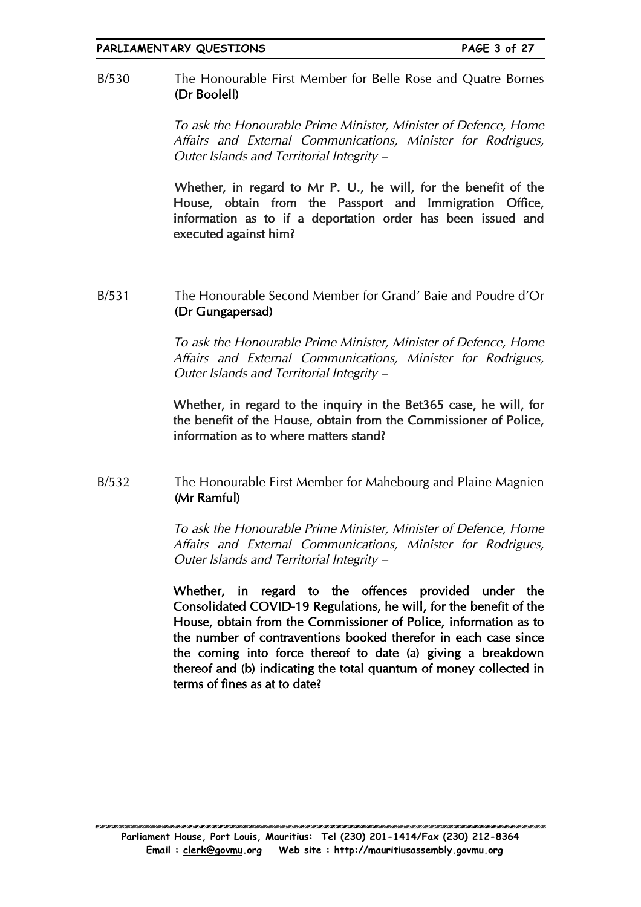### B/530 The Honourable First Member for Belle Rose and Quatre Bornes (Dr Boolell)

To ask the Honourable Prime Minister, Minister of Defence, Home Affairs and External Communications, Minister for Rodrigues, Outer Islands and Territorial Integrity –

Whether, in regard to Mr P. U., he will, for the benefit of the House, obtain from the Passport and Immigration Office, information as to if a deportation order has been issued and executed against him?

### B/531 The Honourable Second Member for Grand' Baie and Poudre d'Or (Dr Gungapersad)

To ask the Honourable Prime Minister, Minister of Defence, Home Affairs and External Communications, Minister for Rodrigues, Outer Islands and Territorial Integrity –

Whether, in regard to the inquiry in the Bet365 case, he will, for the benefit of the House, obtain from the Commissioner of Police, information as to where matters stand?

## B/532 The Honourable First Member for Mahebourg and Plaine Magnien (Mr Ramful)

To ask the Honourable Prime Minister, Minister of Defence, Home Affairs and External Communications, Minister for Rodrigues, Outer Islands and Territorial Integrity –

Whether, in regard to the offences provided under the Consolidated COVID-19 Regulations, he will, for the benefit of the House, obtain from the Commissioner of Police, information as to the number of contraventions booked therefor in each case since the coming into force thereof to date (a) giving a breakdown thereof and (b) indicating the total quantum of money collected in terms of fines as at to date?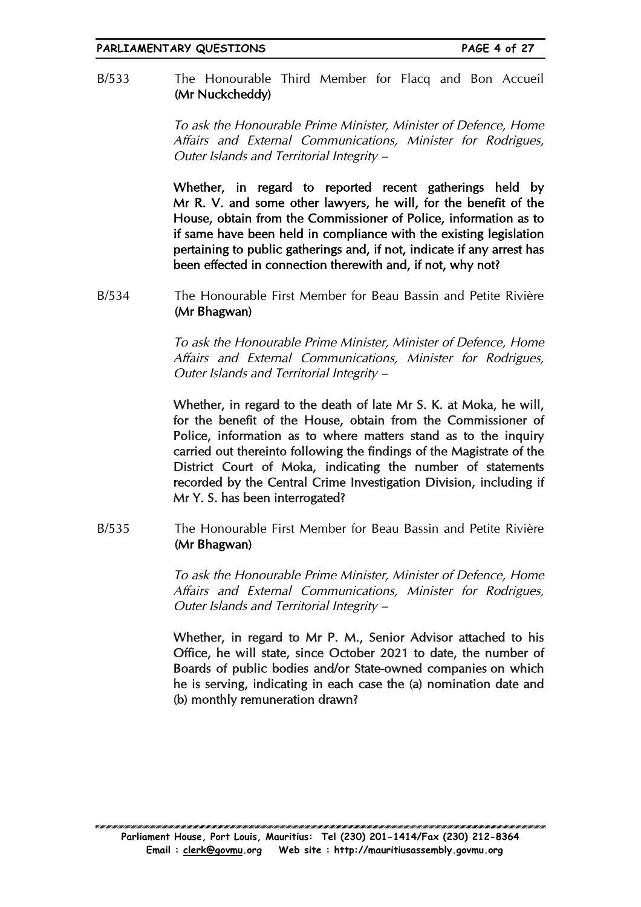B/533 The Honourable Third Member for Flacq and Bon Accueil (Mr Nuckcheddy)

> To ask the Honourable Prime Minister, Minister of Defence, Home Affairs and External Communications, Minister for Rodrigues, Outer Islands and Territorial Integrity –

> Whether, in regard to reported recent gatherings held by Mr R. V. and some other lawyers, he will, for the benefit of the House, obtain from the Commissioner of Police, information as to if same have been held in compliance with the existing legislation pertaining to public gatherings and, if not, indicate if any arrest has been effected in connection therewith and, if not, why not?

B/534 The Honourable First Member for Beau Bassin and Petite Rivière (Mr Bhagwan)

> To ask the Honourable Prime Minister, Minister of Defence, Home Affairs and External Communications, Minister for Rodrigues, Outer Islands and Territorial Integrity –

> Whether, in regard to the death of late Mr S. K. at Moka, he will, for the benefit of the House, obtain from the Commissioner of Police, information as to where matters stand as to the inquiry carried out thereinto following the findings of the Magistrate of the District Court of Moka, indicating the number of statements recorded by the Central Crime Investigation Division, including if Mr Y. S. has been interrogated?

B/535 The Honourable First Member for Beau Bassin and Petite Rivière (Mr Bhagwan)

> To ask the Honourable Prime Minister, Minister of Defence, Home Affairs and External Communications, Minister for Rodrigues, Outer Islands and Territorial Integrity –

> Whether, in regard to Mr P. M., Senior Advisor attached to his Office, he will state, since October 2021 to date, the number of Boards of public bodies and/or State-owned companies on which he is serving, indicating in each case the (a) nomination date and (b) monthly remuneration drawn?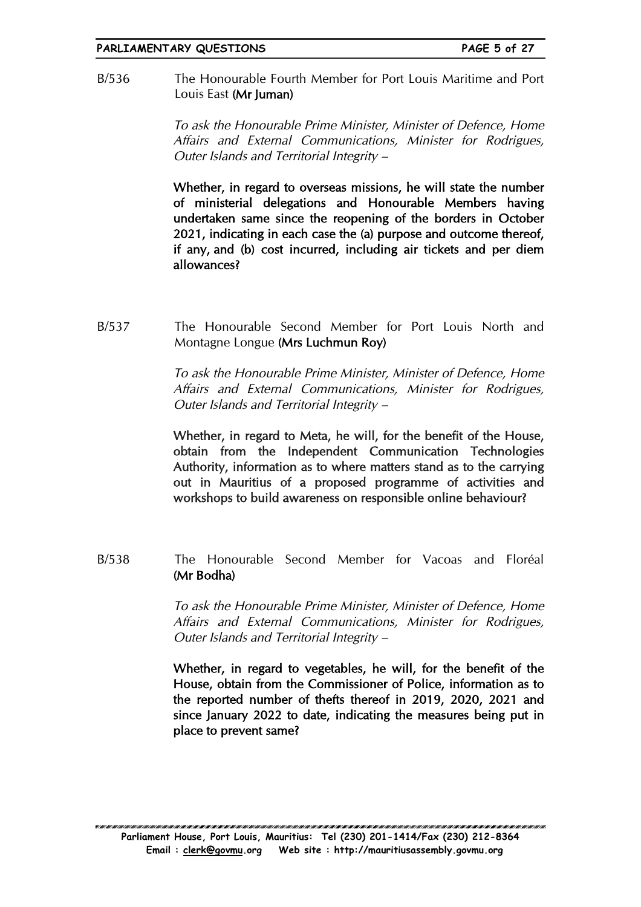#### **PARLIAMENTARY QUESTIONS PAGE 5 of 27**

B/536 The Honourable Fourth Member for Port Louis Maritime and Port Louis East (Mr Juman)

> To ask the Honourable Prime Minister, Minister of Defence, Home Affairs and External Communications, Minister for Rodrigues, Outer Islands and Territorial Integrity –

> Whether, in regard to overseas missions, he will state the number of ministerial delegations and Honourable Members having undertaken same since the reopening of the borders in October 2021, indicating in each case the (a) purpose and outcome thereof, if any, and (b) cost incurred, including air tickets and per diem allowances?

B/537 The Honourable Second Member for Port Louis North and Montagne Longue (Mrs Luchmun Roy)

> To ask the Honourable Prime Minister, Minister of Defence, Home Affairs and External Communications, Minister for Rodrigues, Outer Islands and Territorial Integrity –

> Whether, in regard to Meta, he will, for the benefit of the House, obtain from the Independent Communication Technologies Authority, information as to where matters stand as to the carrying out in Mauritius of a proposed programme of activities and workshops to build awareness on responsible online behaviour?

B/538 The Honourable Second Member for Vacoas and Floréal (Mr Bodha)

> To ask the Honourable Prime Minister, Minister of Defence, Home Affairs and External Communications, Minister for Rodrigues, Outer Islands and Territorial Integrity –

> Whether, in regard to vegetables, he will, for the benefit of the House, obtain from the Commissioner of Police, information as to the reported number of thefts thereof in 2019, 2020, 2021 and since January 2022 to date, indicating the measures being put in place to prevent same?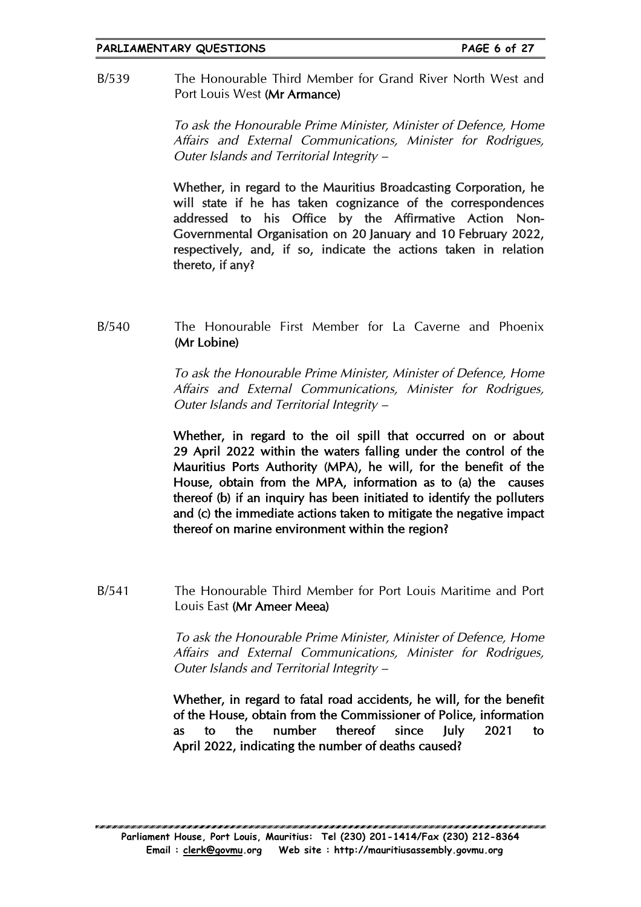#### **PARLIAMENTARY QUESTIONS PAGE 6 of 27**

B/539 The Honourable Third Member for Grand River North West and Port Louis West (Mr Armance)

> To ask the Honourable Prime Minister, Minister of Defence, Home Affairs and External Communications, Minister for Rodrigues, Outer Islands and Territorial Integrity –

> Whether, in regard to the Mauritius Broadcasting Corporation, he will state if he has taken cognizance of the correspondences addressed to his Office by the Affirmative Action Non-Governmental Organisation on 20 January and 10 February 2022, respectively, and, if so, indicate the actions taken in relation thereto, if any?

B/540 The Honourable First Member for La Caverne and Phoenix (Mr Lobine)

> To ask the Honourable Prime Minister, Minister of Defence, Home Affairs and External Communications, Minister for Rodrigues, Outer Islands and Territorial Integrity –

> Whether, in regard to the oil spill that occurred on or about 29 April 2022 within the waters falling under the control of the Mauritius Ports Authority (MPA), he will, for the benefit of the House, obtain from the MPA, information as to (a) the causes thereof (b) if an inquiry has been initiated to identify the polluters and (c) the immediate actions taken to mitigate the negative impact thereof on marine environment within the region?

B/541 The Honourable Third Member for Port Louis Maritime and Port Louis East (Mr Ameer Meea)

> To ask the Honourable Prime Minister, Minister of Defence, Home Affairs and External Communications, Minister for Rodrigues, Outer Islands and Territorial Integrity –

> Whether, in regard to fatal road accidents, he will, for the benefit of the House, obtain from the Commissioner of Police, information as to the number thereof since July 2021 to April 2022, indicating the number of deaths caused?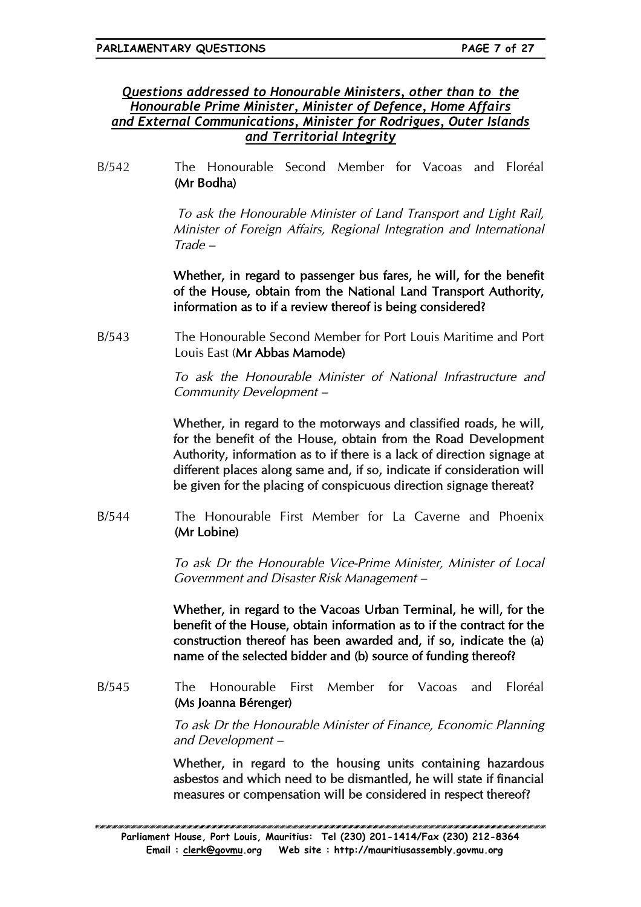## *Questions addressed to Honourable Ministers, other than to the Honourable Prime Minister, Minister of Defence, Home Affairs and External Communications, Minister for Rodrigues, Outer Islands and Territorial Integrity*

B/542 The Honourable Second Member for Vacoas and Floréal (Mr Bodha)

> To ask the Honourable Minister of Land Transport and Light Rail, Minister of Foreign Affairs, Regional Integration and International Trade –

> Whether, in regard to passenger bus fares, he will, for the benefit of the House, obtain from the National Land Transport Authority, information as to if a review thereof is being considered?

B/543 The Honourable Second Member for Port Louis Maritime and Port Louis East (Mr Abbas Mamode)

> To ask the Honourable Minister of National Infrastructure and Community Development –

> Whether, in regard to the motorways and classified roads, he will, for the benefit of the House, obtain from the Road Development Authority, information as to if there is a lack of direction signage at different places along same and, if so, indicate if consideration will be given for the placing of conspicuous direction signage thereat?

B/544 The Honourable First Member for La Caverne and Phoenix (Mr Lobine)

> To ask Dr the Honourable Vice-Prime Minister, Minister of Local Government and Disaster Risk Management –

> Whether, in regard to the Vacoas Urban Terminal, he will, for the benefit of the House, obtain information as to if the contract for the construction thereof has been awarded and, if so, indicate the (a) name of the selected bidder and (b) source of funding thereof?

B/545 The Honourable First Member for Vacoas and Floréal (Ms Joanna Bérenger)

> To ask Dr the Honourable Minister of Finance, Economic Planning and Development –

> Whether, in regard to the housing units containing hazardous asbestos and which need to be dismantled, he will state if financial measures or compensation will be considered in respect thereof?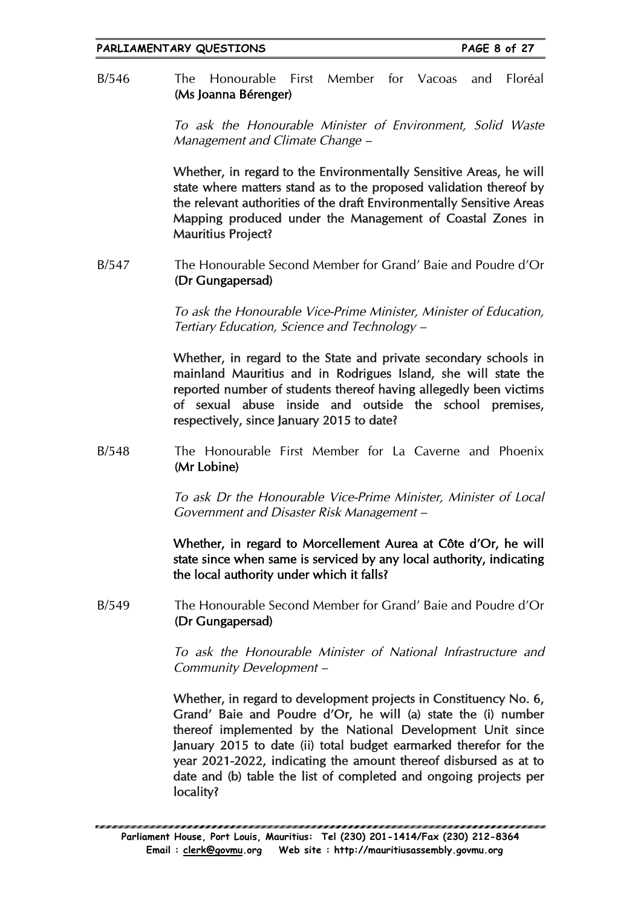B/546 The Honourable First Member for Vacoas and Floréal (Ms Joanna Bérenger)

> To ask the Honourable Minister of Environment, Solid Waste Management and Climate Change –

> Whether, in regard to the Environmentally Sensitive Areas, he will state where matters stand as to the proposed validation thereof by the relevant authorities of the draft Environmentally Sensitive Areas Mapping produced under the Management of Coastal Zones in Mauritius Project?

B/547 The Honourable Second Member for Grand' Baie and Poudre d'Or (Dr Gungapersad)

> To ask the Honourable Vice-Prime Minister, Minister of Education, Tertiary Education, Science and Technology –

> Whether, in regard to the State and private secondary schools in mainland Mauritius and in Rodrigues Island, she will state the reported number of students thereof having allegedly been victims of sexual abuse inside and outside the school premises, respectively, since January 2015 to date?

B/548 The Honourable First Member for La Caverne and Phoenix (Mr Lobine)

> To ask Dr the Honourable Vice-Prime Minister, Minister of Local Government and Disaster Risk Management –

> Whether, in regard to Morcellement Aurea at Côte d'Or, he will state since when same is serviced by any local authority, indicating the local authority under which it falls?

B/549 The Honourable Second Member for Grand' Baie and Poudre d'Or (Dr Gungapersad)

> To ask the Honourable Minister of National Infrastructure and Community Development –

> Whether, in regard to development projects in Constituency No. 6, Grand' Baie and Poudre d'Or, he will (a) state the (i) number thereof implemented by the National Development Unit since January 2015 to date (ii) total budget earmarked therefor for the year 2021-2022, indicating the amount thereof disbursed as at to date and (b) table the list of completed and ongoing projects per locality?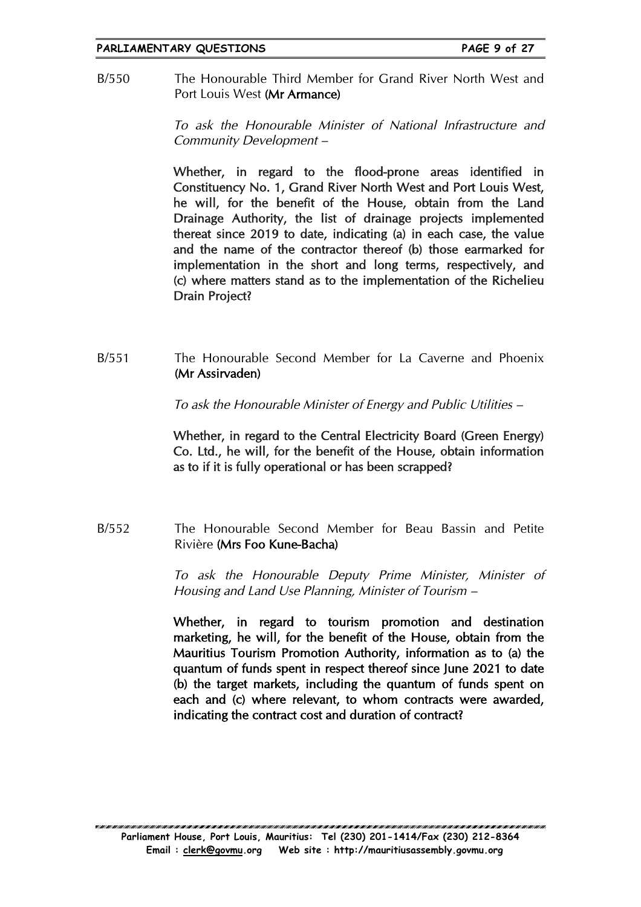#### **PARLIAMENTARY QUESTIONS PAGE 9 of 27**

B/550 The Honourable Third Member for Grand River North West and Port Louis West (Mr Armance)

> To ask the Honourable Minister of National Infrastructure and Community Development –

> Whether, in regard to the flood-prone areas identified in Constituency No. 1, Grand River North West and Port Louis West, he will, for the benefit of the House, obtain from the Land Drainage Authority, the list of drainage projects implemented thereat since 2019 to date, indicating (a) in each case, the value and the name of the contractor thereof (b) those earmarked for implementation in the short and long terms, respectively, and (c) where matters stand as to the implementation of the Richelieu Drain Project?

B/551 The Honourable Second Member for La Caverne and Phoenix (Mr Assirvaden)

To ask the Honourable Minister of Energy and Public Utilities –

Whether, in regard to the Central Electricity Board (Green Energy) Co. Ltd., he will, for the benefit of the House, obtain information as to if it is fully operational or has been scrapped?

B/552 The Honourable Second Member for Beau Bassin and Petite Rivière (Mrs Foo Kune-Bacha)

> To ask the Honourable Deputy Prime Minister, Minister of Housing and Land Use Planning, Minister of Tourism –

> Whether, in regard to tourism promotion and destination marketing, he will, for the benefit of the House, obtain from the Mauritius Tourism Promotion Authority, information as to (a) the quantum of funds spent in respect thereof since June 2021 to date (b) the target markets, including the quantum of funds spent on each and (c) where relevant, to whom contracts were awarded, indicating the contract cost and duration of contract?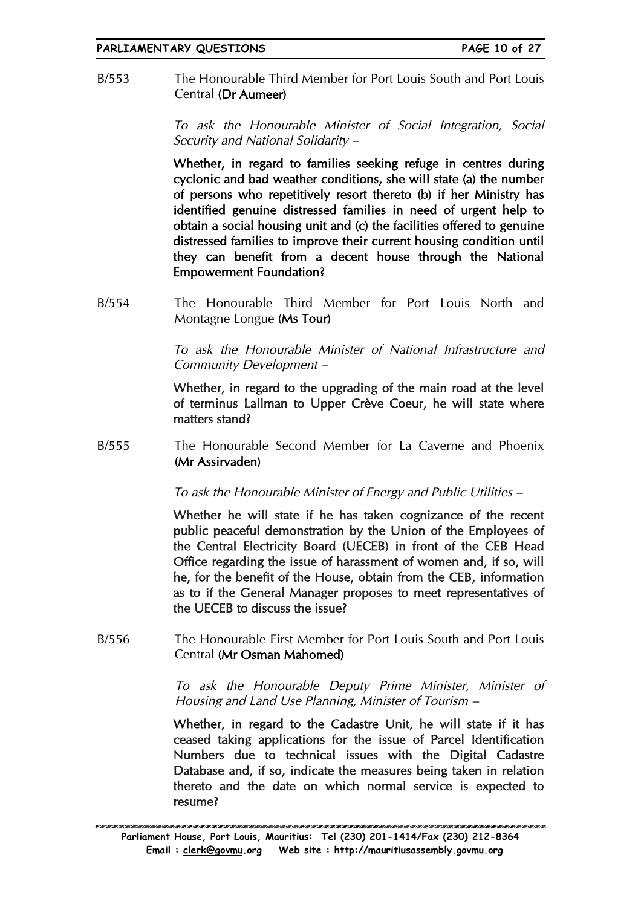B/553 The Honourable Third Member for Port Louis South and Port Louis Central (Dr Aumeer)

> To ask the Honourable Minister of Social Integration, Social Security and National Solidarity –

> Whether, in regard to families seeking refuge in centres during cyclonic and bad weather conditions, she will state (a) the number of persons who repetitively resort thereto (b) if her Ministry has identified genuine distressed families in need of urgent help to obtain a social housing unit and (c) the facilities offered to genuine distressed families to improve their current housing condition until they can benefit from a decent house through the National Empowerment Foundation?

B/554 The Honourable Third Member for Port Louis North and Montagne Longue (Ms Tour)

> To ask the Honourable Minister of National Infrastructure and Community Development –

> Whether, in regard to the upgrading of the main road at the level of terminus Lallman to Upper Crève Coeur, he will state where matters stand?

B/555 The Honourable Second Member for La Caverne and Phoenix (Mr Assirvaden)

To ask the Honourable Minister of Energy and Public Utilities –

Whether he will state if he has taken cognizance of the recent public peaceful demonstration by the Union of the Employees of the Central Electricity Board (UECEB) in front of the CEB Head Office regarding the issue of harassment of women and, if so, will he, for the benefit of the House, obtain from the CEB, information as to if the General Manager proposes to meet representatives of the UECEB to discuss the issue?

B/556 The Honourable First Member for Port Louis South and Port Louis Central (Mr Osman Mahomed)

> To ask the Honourable Deputy Prime Minister, Minister of Housing and Land Use Planning, Minister of Tourism –

> Whether, in regard to the Cadastre Unit, he will state if it has ceased taking applications for the issue of Parcel Identification Numbers due to technical issues with the Digital Cadastre Database and, if so, indicate the measures being taken in relation thereto and the date on which normal service is expected to resume?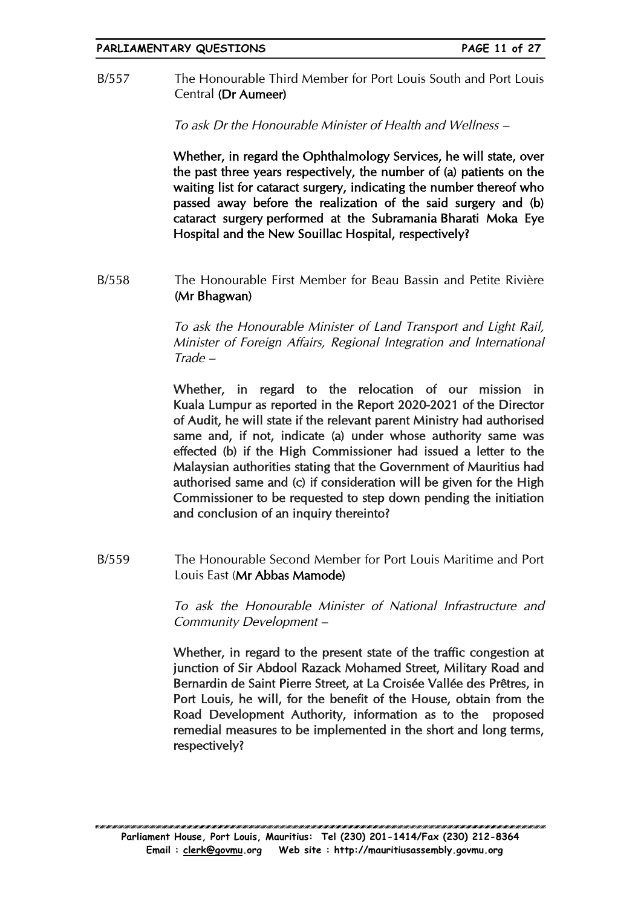B/557 The Honourable Third Member for Port Louis South and Port Louis Central (Dr Aumeer)

To ask Dr the Honourable Minister of Health and Wellness –

Whether, in regard the Ophthalmology Services, he will state, over the past three years respectively, the number of (a) patients on the waiting list for cataract surgery, indicating the number thereof who passed away before the realization of the said surgery and (b) cataract surgery performed at the Subramania Bharati Moka Eye Hospital and the New Souillac Hospital, respectively?

B/558 The Honourable First Member for Beau Bassin and Petite Rivière (Mr Bhagwan)

> To ask the Honourable Minister of Land Transport and Light Rail, Minister of Foreign Affairs, Regional Integration and International Trade –

> Whether, in regard to the relocation of our mission in Kuala Lumpur as reported in the Report 2020-2021 of the Director of Audit, he will state if the relevant parent Ministry had authorised same and, if not, indicate (a) under whose authority same was effected (b) if the High Commissioner had issued a letter to the Malaysian authorities stating that the Government of Mauritius had authorised same and (c) if consideration will be given for the High Commissioner to be requested to step down pending the initiation and conclusion of an inquiry thereinto?

B/559 The Honourable Second Member for Port Louis Maritime and Port Louis East (Mr Abbas Mamode)

> To ask the Honourable Minister of National Infrastructure and Community Development –

> Whether, in regard to the present state of the traffic congestion at junction of Sir Abdool Razack Mohamed Street, Military Road and Bernardin de Saint Pierre Street, at La Croisée Vallée des Prêtres, in Port Louis, he will, for the benefit of the House, obtain from the Road Development Authority, information as to the proposed remedial measures to be implemented in the short and long terms, respectively?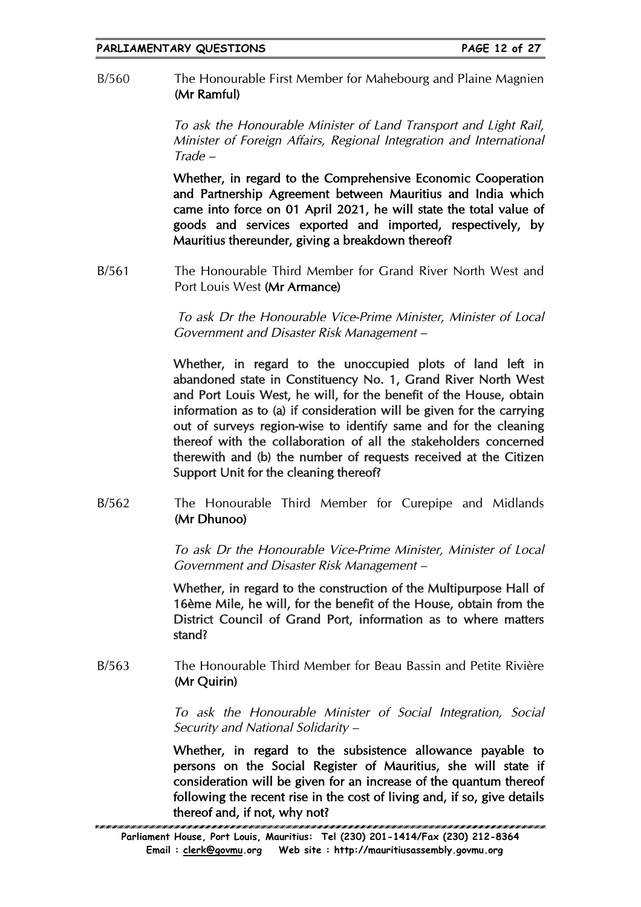B/560 The Honourable First Member for Mahebourg and Plaine Magnien (Mr Ramful)

> To ask the Honourable Minister of Land Transport and Light Rail, Minister of Foreign Affairs, Regional Integration and International Trade –

> Whether, in regard to the Comprehensive Economic Cooperation and Partnership Agreement between Mauritius and India which came into force on 01 April 2021, he will state the total value of goods and services exported and imported, respectively, by Mauritius thereunder, giving a breakdown thereof?

B/561 The Honourable Third Member for Grand River North West and Port Louis West (Mr Armance)

> To ask Dr the Honourable Vice-Prime Minister, Minister of Local Government and Disaster Risk Management –

> Whether, in regard to the unoccupied plots of land left in abandoned state in Constituency No. 1, Grand River North West and Port Louis West, he will, for the benefit of the House, obtain information as to (a) if consideration will be given for the carrying out of surveys region-wise to identify same and for the cleaning thereof with the collaboration of all the stakeholders concerned therewith and (b) the number of requests received at the Citizen Support Unit for the cleaning thereof?

B/562 The Honourable Third Member for Curepipe and Midlands (Mr Dhunoo)

> To ask Dr the Honourable Vice-Prime Minister, Minister of Local Government and Disaster Risk Management –

> Whether, in regard to the construction of the Multipurpose Hall of 16ème Mile, he will, for the benefit of the House, obtain from the District Council of Grand Port, information as to where matters stand?

B/563 The Honourable Third Member for Beau Bassin and Petite Rivière (Mr Quirin)

> To ask the Honourable Minister of Social Integration, Social Security and National Solidarity –

> Whether, in regard to the subsistence allowance payable to persons on the Social Register of Mauritius, she will state if consideration will be given for an increase of the quantum thereof following the recent rise in the cost of living and, if so, give details thereof and, if not, why not?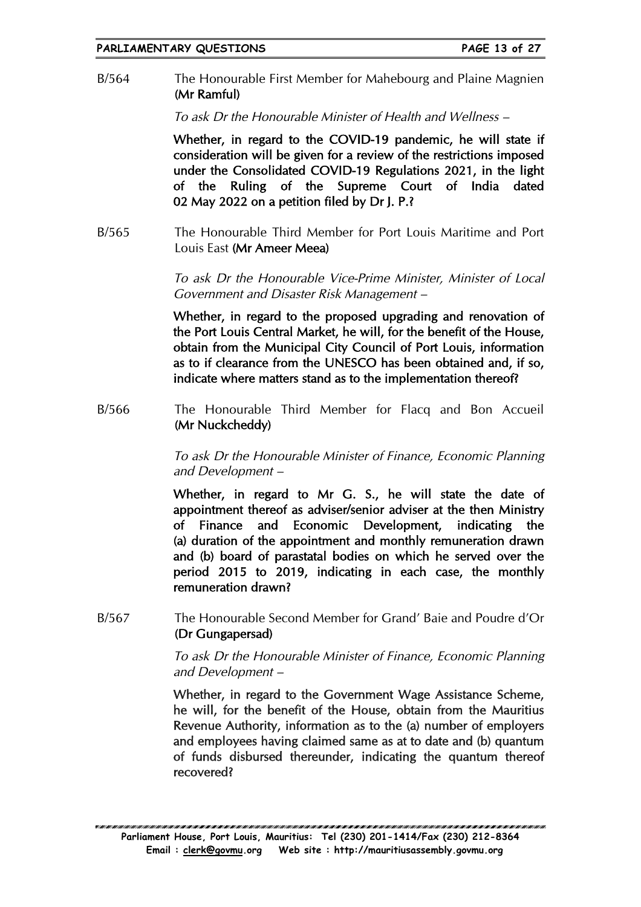B/564 The Honourable First Member for Mahebourg and Plaine Magnien (Mr Ramful)

To ask Dr the Honourable Minister of Health and Wellness –

Whether, in regard to the COVID-19 pandemic, he will state if consideration will be given for a review of the restrictions imposed under the Consolidated COVID-19 Regulations 2021, in the light of the Ruling of the Supreme Court of India dated 02 May 2022 on a petition filed by Dr J. P.?

B/565 The Honourable Third Member for Port Louis Maritime and Port Louis East (Mr Ameer Meea)

> To ask Dr the Honourable Vice-Prime Minister, Minister of Local Government and Disaster Risk Management –

> Whether, in regard to the proposed upgrading and renovation of the Port Louis Central Market, he will, for the benefit of the House, obtain from the Municipal City Council of Port Louis, information as to if clearance from the UNESCO has been obtained and, if so, indicate where matters stand as to the implementation thereof?

B/566 The Honourable Third Member for Flacq and Bon Accueil (Mr Nuckcheddy)

> To ask Dr the Honourable Minister of Finance, Economic Planning and Development –

> Whether, in regard to Mr G. S., he will state the date of appointment thereof as adviser/senior adviser at the then Ministry of Finance and Economic Development, indicating the (a) duration of the appointment and monthly remuneration drawn and (b) board of parastatal bodies on which he served over the period 2015 to 2019, indicating in each case, the monthly remuneration drawn?

B/567 The Honourable Second Member for Grand' Baie and Poudre d'Or (Dr Gungapersad)

> To ask Dr the Honourable Minister of Finance, Economic Planning and Development –

> Whether, in regard to the Government Wage Assistance Scheme, he will, for the benefit of the House, obtain from the Mauritius Revenue Authority, information as to the (a) number of employers and employees having claimed same as at to date and (b) quantum of funds disbursed thereunder, indicating the quantum thereof recovered?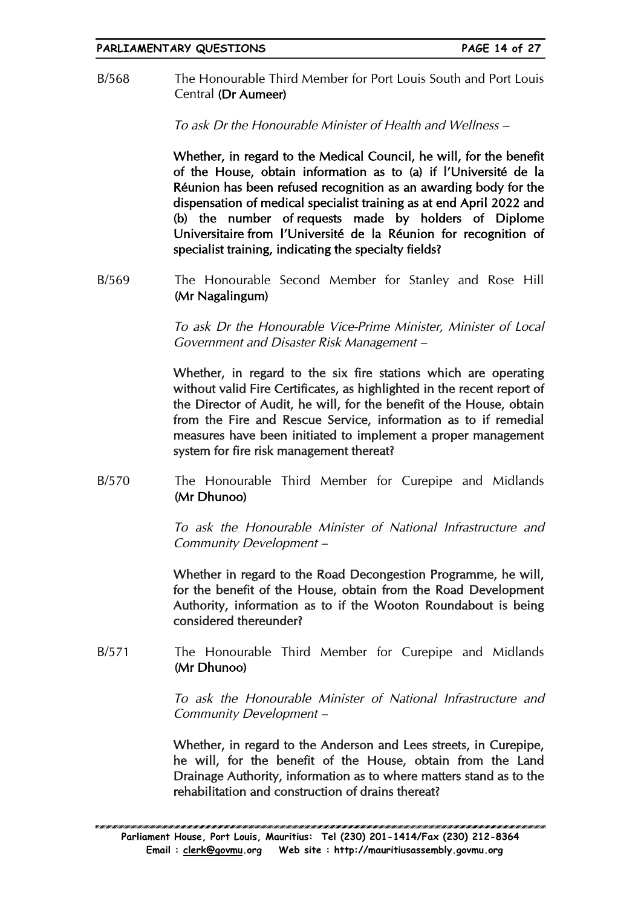B/568 The Honourable Third Member for Port Louis South and Port Louis Central (Dr Aumeer)

To ask Dr the Honourable Minister of Health and Wellness –

Whether, in regard to the Medical Council, he will, for the benefit of the House, obtain information as to (a) if l'Université de la Réunion has been refused recognition as an awarding body for the dispensation of medical specialist training as at end April 2022 and (b) the number of requests made by holders of Diplome Universitaire from l'Université de la Réunion for recognition of specialist training, indicating the specialty fields?

B/569 The Honourable Second Member for Stanley and Rose Hill (Mr Nagalingum)

> To ask Dr the Honourable Vice-Prime Minister, Minister of Local Government and Disaster Risk Management –

> Whether, in regard to the six fire stations which are operating without valid Fire Certificates, as highlighted in the recent report of the Director of Audit, he will, for the benefit of the House, obtain from the Fire and Rescue Service, information as to if remedial measures have been initiated to implement a proper management system for fire risk management thereat?

B/570 The Honourable Third Member for Curepipe and Midlands (Mr Dhunoo)

> To ask the Honourable Minister of National Infrastructure and Community Development –

> Whether in regard to the Road Decongestion Programme, he will, for the benefit of the House, obtain from the Road Development Authority, information as to if the Wooton Roundabout is being considered thereunder?

B/571 The Honourable Third Member for Curepipe and Midlands (Mr Dhunoo)

> To ask the Honourable Minister of National Infrastructure and Community Development –

> Whether, in regard to the Anderson and Lees streets, in Curepipe, he will, for the benefit of the House, obtain from the Land Drainage Authority, information as to where matters stand as to the rehabilitation and construction of drains thereat?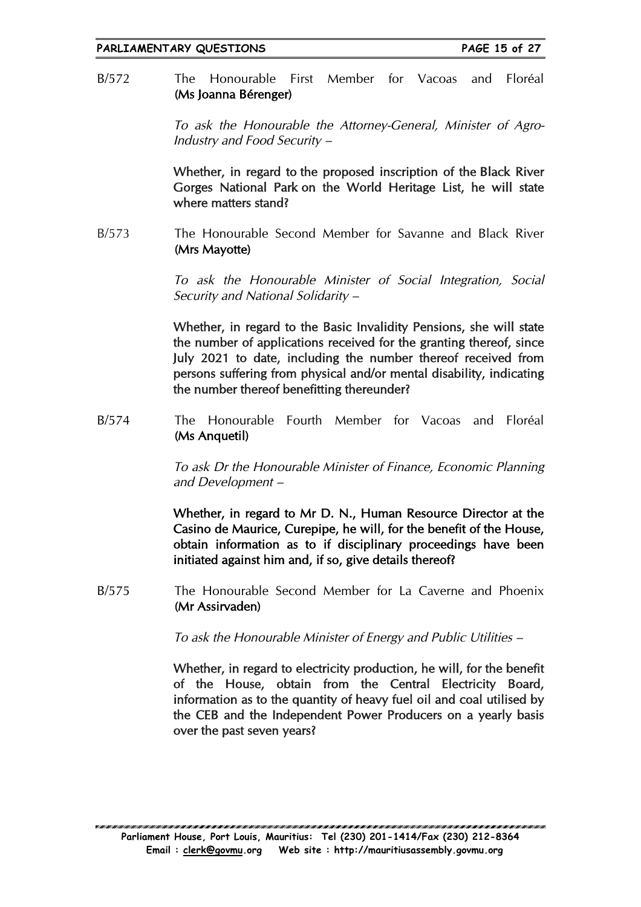B/572 The Honourable First Member for Vacoas and Floréal (Ms Joanna Bérenger)

> To ask the Honourable the Attorney-General, Minister of Agro-Industry and Food Security –

> Whether, in regard to the proposed inscription of the Black River Gorges National Park on the World Heritage List, he will state where matters stand?

B/573 The Honourable Second Member for Savanne and Black River (Mrs Mayotte)

> To ask the Honourable Minister of Social Integration, Social Security and National Solidarity –

> Whether, in regard to the Basic Invalidity Pensions, she will state the number of applications received for the granting thereof, since July 2021 to date, including the number thereof received from persons suffering from physical and/or mental disability, indicating the number thereof benefitting thereunder?

B/574 The Honourable Fourth Member for Vacoas and Floréal (Ms Anquetil)

> To ask Dr the Honourable Minister of Finance, Economic Planning and Development –

> Whether, in regard to Mr D. N., Human Resource Director at the Casino de Maurice, Curepipe, he will, for the benefit of the House, obtain information as to if disciplinary proceedings have been initiated against him and, if so, give details thereof?

B/575 The Honourable Second Member for La Caverne and Phoenix (Mr Assirvaden)

To ask the Honourable Minister of Energy and Public Utilities –

Whether, in regard to electricity production, he will, for the benefit of the House, obtain from the Central Electricity Board, information as to the quantity of heavy fuel oil and coal utilised by the CEB and the Independent Power Producers on a yearly basis over the past seven years?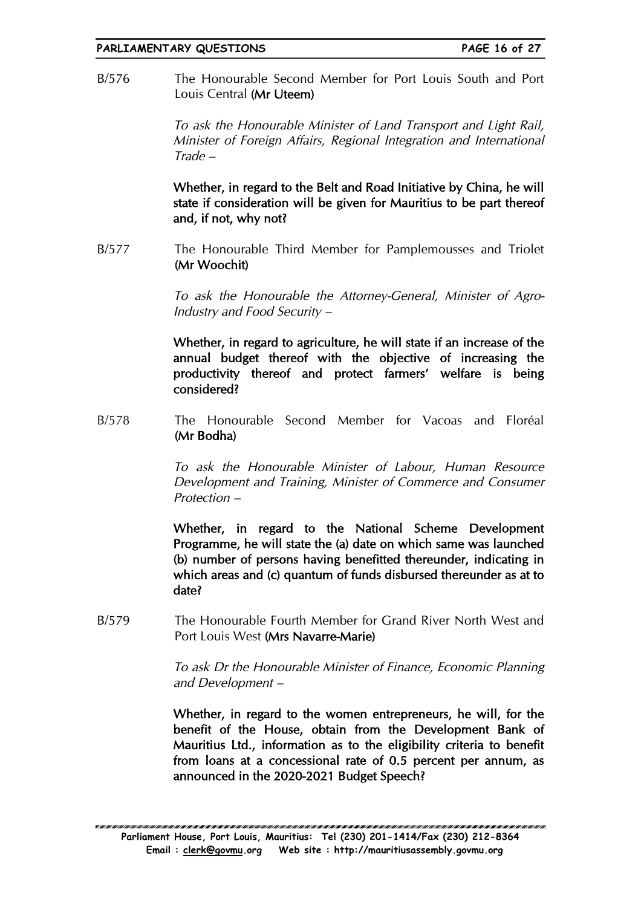B/576 The Honourable Second Member for Port Louis South and Port Louis Central (Mr Uteem)

> To ask the Honourable Minister of Land Transport and Light Rail, Minister of Foreign Affairs, Regional Integration and International Trade –

> Whether, in regard to the Belt and Road Initiative by China, he will state if consideration will be given for Mauritius to be part thereof and, if not, why not?

B/577 The Honourable Third Member for Pamplemousses and Triolet (Mr Woochit)

> To ask the Honourable the Attorney-General, Minister of Agro-Industry and Food Security –

> Whether, in regard to agriculture, he will state if an increase of the annual budget thereof with the objective of increasing the productivity thereof and protect farmers' welfare is being considered?

B/578 The Honourable Second Member for Vacoas and Floréal (Mr Bodha)

> To ask the Honourable Minister of Labour, Human Resource Development and Training, Minister of Commerce and Consumer Protection –

> Whether, in regard to the National Scheme Development Programme, he will state the (a) date on which same was launched (b) number of persons having benefitted thereunder, indicating in which areas and (c) quantum of funds disbursed thereunder as at to date?

B/579 The Honourable Fourth Member for Grand River North West and Port Louis West (Mrs Navarre-Marie)

> To ask Dr the Honourable Minister of Finance, Economic Planning and Development –

> Whether, in regard to the women entrepreneurs, he will, for the benefit of the House, obtain from the Development Bank of Mauritius Ltd., information as to the eligibility criteria to benefit from loans at a concessional rate of 0.5 percent per annum, as announced in the 2020-2021 Budget Speech?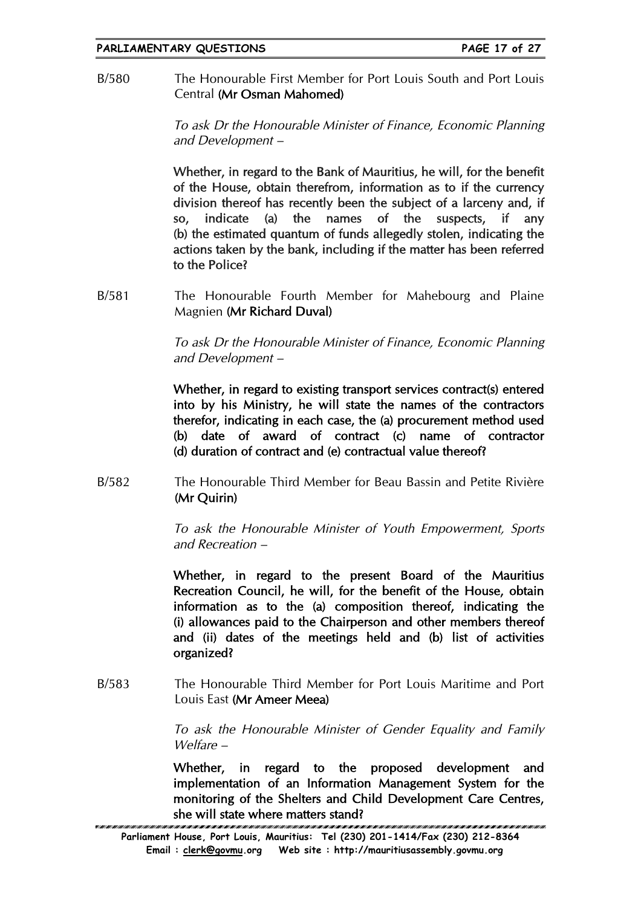B/580 The Honourable First Member for Port Louis South and Port Louis Central (Mr Osman Mahomed)

> To ask Dr the Honourable Minister of Finance, Economic Planning and Development –

> Whether, in regard to the Bank of Mauritius, he will, for the benefit of the House, obtain therefrom, information as to if the currency division thereof has recently been the subject of a larceny and, if so, indicate (a) the names of the suspects, if any (b) the estimated quantum of funds allegedly stolen, indicating the actions taken by the bank, including if the matter has been referred to the Police?

B/581 The Honourable Fourth Member for Mahebourg and Plaine Magnien (Mr Richard Duval)

> To ask Dr the Honourable Minister of Finance, Economic Planning and Development –

> Whether, in regard to existing transport services contract(s) entered into by his Ministry, he will state the names of the contractors therefor, indicating in each case, the (a) procurement method used (b) date of award of contract (c) name of contractor (d) duration of contract and (e) contractual value thereof?

B/582 The Honourable Third Member for Beau Bassin and Petite Rivière (Mr Quirin)

> To ask the Honourable Minister of Youth Empowerment, Sports and Recreation –

> Whether, in regard to the present Board of the Mauritius Recreation Council, he will, for the benefit of the House, obtain information as to the (a) composition thereof, indicating the (i) allowances paid to the Chairperson and other members thereof and (ii) dates of the meetings held and (b) list of activities organized?

B/583 The Honourable Third Member for Port Louis Maritime and Port Louis East (Mr Ameer Meea)

> To ask the Honourable Minister of Gender Equality and Family Welfare –

> Whether, in regard to the proposed development and implementation of an Information Management System for the monitoring of the Shelters and Child Development Care Centres, she will state where matters stand?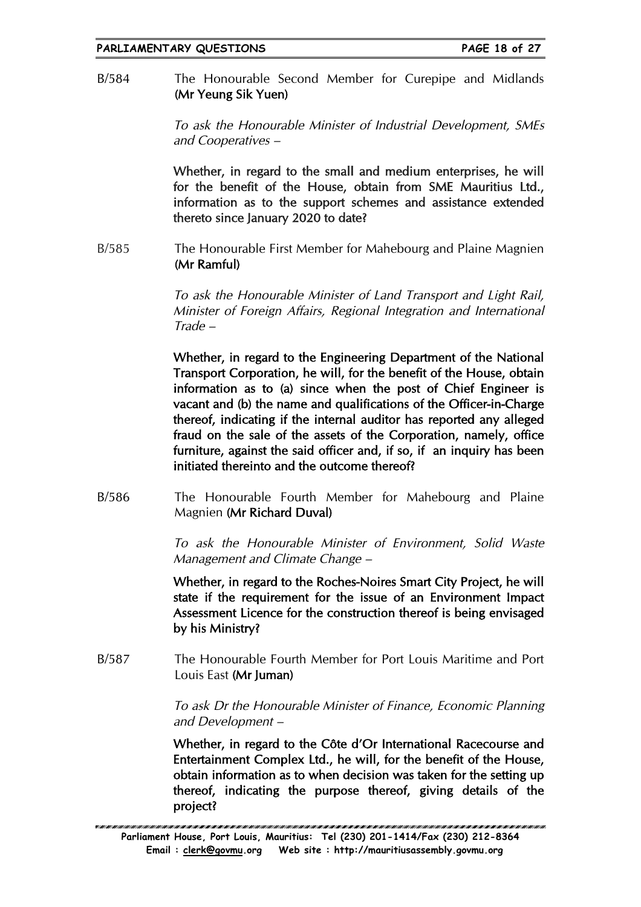B/584 The Honourable Second Member for Curepipe and Midlands (Mr Yeung Sik Yuen)

> To ask the Honourable Minister of Industrial Development, SMEs and Cooperatives –

> Whether, in regard to the small and medium enterprises, he will for the benefit of the House, obtain from SME Mauritius Ltd., information as to the support schemes and assistance extended thereto since January 2020 to date?

B/585 The Honourable First Member for Mahebourg and Plaine Magnien (Mr Ramful)

> To ask the Honourable Minister of Land Transport and Light Rail, Minister of Foreign Affairs, Regional Integration and International Trade –

> Whether, in regard to the Engineering Department of the National Transport Corporation, he will, for the benefit of the House, obtain information as to (a) since when the post of Chief Engineer is vacant and (b) the name and qualifications of the Officer-in-Charge thereof, indicating if the internal auditor has reported any alleged fraud on the sale of the assets of the Corporation, namely, office furniture, against the said officer and, if so, if an inquiry has been initiated thereinto and the outcome thereof?

B/586 The Honourable Fourth Member for Mahebourg and Plaine Magnien (Mr Richard Duval)

> To ask the Honourable Minister of Environment, Solid Waste Management and Climate Change –

> Whether, in regard to the Roches-Noires Smart City Project, he will state if the requirement for the issue of an Environment Impact Assessment Licence for the construction thereof is being envisaged by his Ministry?

B/587 The Honourable Fourth Member for Port Louis Maritime and Port Louis East (Mr Juman)

> To ask Dr the Honourable Minister of Finance, Economic Planning and Development –

> Whether, in regard to the Côte d'Or International Racecourse and Entertainment Complex Ltd., he will, for the benefit of the House, obtain information as to when decision was taken for the setting up thereof, indicating the purpose thereof, giving details of the project?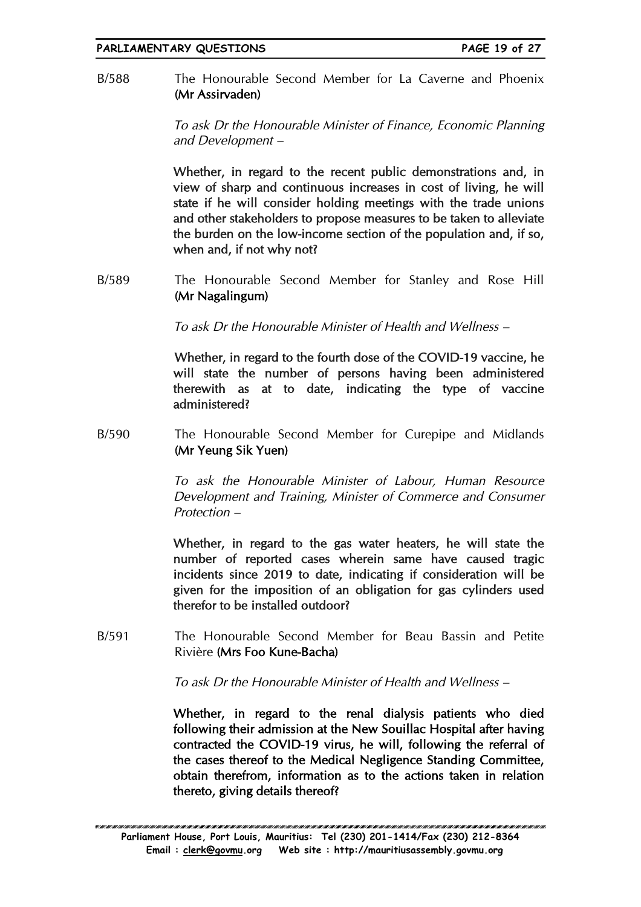B/588 The Honourable Second Member for La Caverne and Phoenix (Mr Assirvaden)

> To ask Dr the Honourable Minister of Finance, Economic Planning and Development –

> Whether, in regard to the recent public demonstrations and, in view of sharp and continuous increases in cost of living, he will state if he will consider holding meetings with the trade unions and other stakeholders to propose measures to be taken to alleviate the burden on the low-income section of the population and, if so, when and, if not why not?

B/589 The Honourable Second Member for Stanley and Rose Hill (Mr Nagalingum)

To ask Dr the Honourable Minister of Health and Wellness –

Whether, in regard to the fourth dose of the COVID-19 vaccine, he will state the number of persons having been administered therewith as at to date, indicating the type of vaccine administered?

B/590 The Honourable Second Member for Curepipe and Midlands (Mr Yeung Sik Yuen)

> To ask the Honourable Minister of Labour, Human Resource Development and Training, Minister of Commerce and Consumer Protection –

> Whether, in regard to the gas water heaters, he will state the number of reported cases wherein same have caused tragic incidents since 2019 to date, indicating if consideration will be given for the imposition of an obligation for gas cylinders used therefor to be installed outdoor?

B/591 The Honourable Second Member for Beau Bassin and Petite Rivière (Mrs Foo Kune-Bacha)

To ask Dr the Honourable Minister of Health and Wellness –

Whether, in regard to the renal dialysis patients who died following their admission at the New Souillac Hospital after having contracted the COVID-19 virus, he will, following the referral of the cases thereof to the Medical Negligence Standing Committee, obtain therefrom, information as to the actions taken in relation thereto, giving details thereof?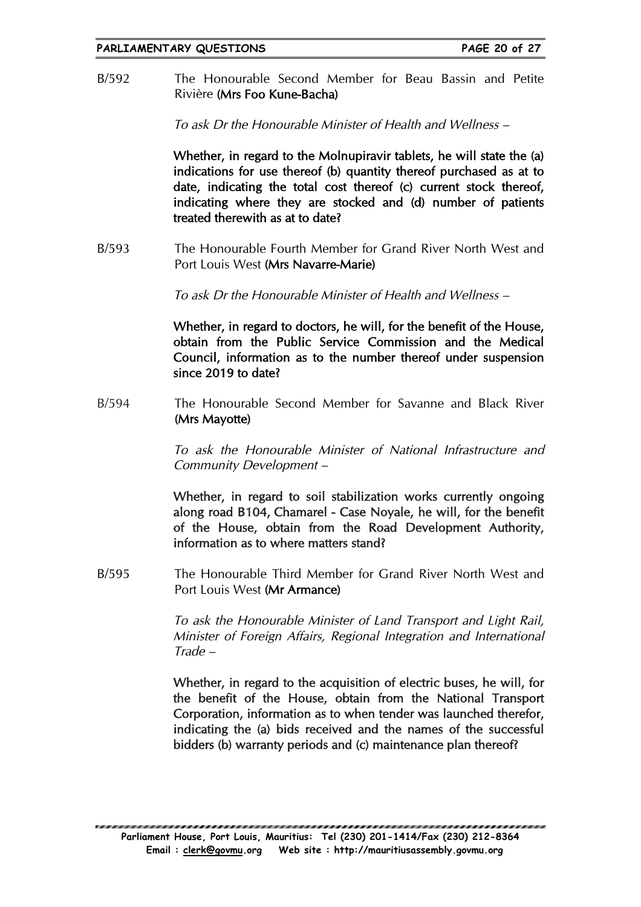B/592 The Honourable Second Member for Beau Bassin and Petite Rivière (Mrs Foo Kune-Bacha)

To ask Dr the Honourable Minister of Health and Wellness –

Whether, in regard to the Molnupiravir tablets, he will state the (a) indications for use thereof (b) quantity thereof purchased as at to date, indicating the total cost thereof (c) current stock thereof, indicating where they are stocked and (d) number of patients treated therewith as at to date?

B/593 The Honourable Fourth Member for Grand River North West and Port Louis West (Mrs Navarre-Marie)

To ask Dr the Honourable Minister of Health and Wellness –

Whether, in regard to doctors, he will, for the benefit of the House, obtain from the Public Service Commission and the Medical Council, information as to the number thereof under suspension since 2019 to date?

B/594 The Honourable Second Member for Savanne and Black River (Mrs Mayotte)

> To ask the Honourable Minister of National Infrastructure and Community Development –

> Whether, in regard to soil stabilization works currently ongoing along road B104, Chamarel - Case Noyale, he will, for the benefit of the House, obtain from the Road Development Authority, information as to where matters stand?

B/595 The Honourable Third Member for Grand River North West and Port Louis West (Mr Armance)

> To ask the Honourable Minister of Land Transport and Light Rail, Minister of Foreign Affairs, Regional Integration and International Trade –

> Whether, in regard to the acquisition of electric buses, he will, for the benefit of the House, obtain from the National Transport Corporation, information as to when tender was launched therefor, indicating the (a) bids received and the names of the successful bidders (b) warranty periods and (c) maintenance plan thereof?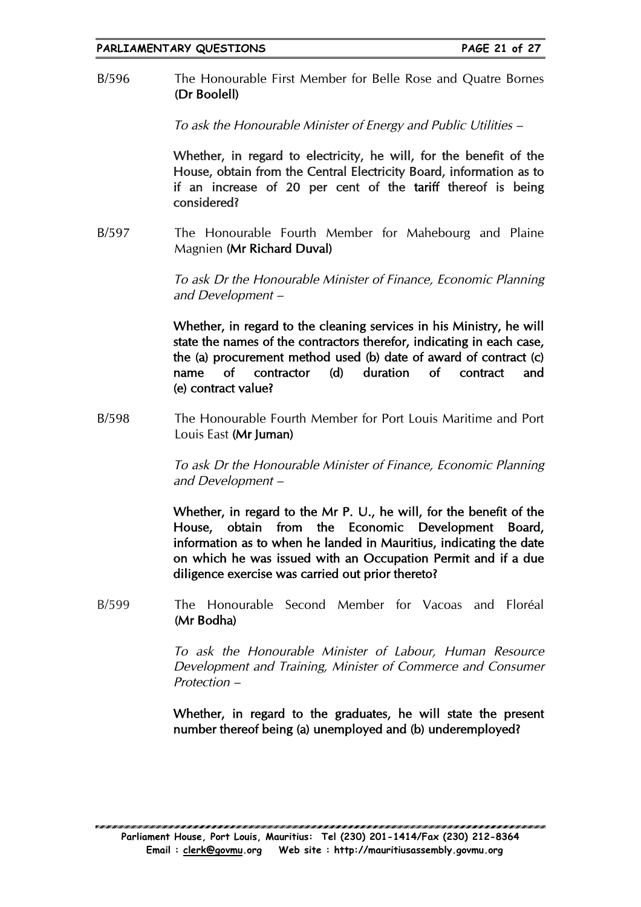B/596 The Honourable First Member for Belle Rose and Quatre Bornes (Dr Boolell)

To ask the Honourable Minister of Energy and Public Utilities –

Whether, in regard to electricity, he will, for the benefit of the House, obtain from the Central Electricity Board, information as to if an increase of 20 per cent of the tariff thereof is being considered?

B/597 The Honourable Fourth Member for Mahebourg and Plaine Magnien (Mr Richard Duval)

> To ask Dr the Honourable Minister of Finance, Economic Planning and Development –

> Whether, in regard to the cleaning services in his Ministry, he will state the names of the contractors therefor, indicating in each case, the (a) procurement method used (b) date of award of contract (c) name of contractor (d) duration of contract and (e) contract value?

B/598 The Honourable Fourth Member for Port Louis Maritime and Port Louis East (Mr Juman)

> To ask Dr the Honourable Minister of Finance, Economic Planning and Development –

> Whether, in regard to the Mr P. U., he will, for the benefit of the House, obtain from the Economic Development Board, information as to when he landed in Mauritius, indicating the date on which he was issued with an Occupation Permit and if a due diligence exercise was carried out prior thereto?

B/599 The Honourable Second Member for Vacoas and Floréal (Mr Bodha)

> To ask the Honourable Minister of Labour, Human Resource Development and Training, Minister of Commerce and Consumer Protection –

> Whether, in regard to the graduates, he will state the present number thereof being (a) unemployed and (b) underemployed?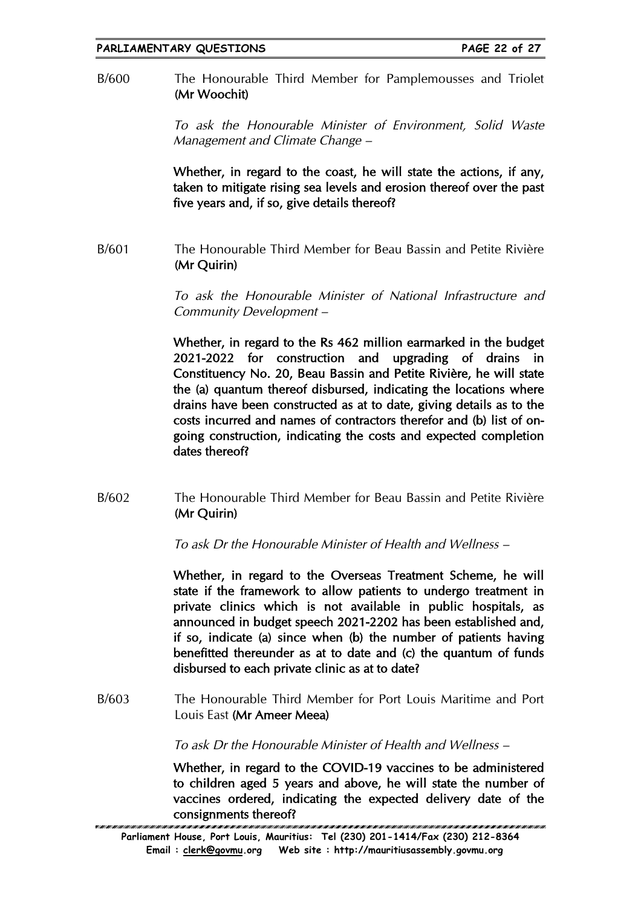B/600 The Honourable Third Member for Pamplemousses and Triolet (Mr Woochit)

> To ask the Honourable Minister of Environment, Solid Waste Management and Climate Change –

> Whether, in regard to the coast, he will state the actions, if any, taken to mitigate rising sea levels and erosion thereof over the past five years and, if so, give details thereof?

B/601 The Honourable Third Member for Beau Bassin and Petite Rivière (Mr Quirin)

> To ask the Honourable Minister of National Infrastructure and Community Development –

> Whether, in regard to the Rs 462 million earmarked in the budget 2021-2022 for construction and upgrading of drains in Constituency No. 20, Beau Bassin and Petite Rivière, he will state the (a) quantum thereof disbursed, indicating the locations where drains have been constructed as at to date, giving details as to the costs incurred and names of contractors therefor and (b) list of ongoing construction, indicating the costs and expected completion dates thereof?

B/602 The Honourable Third Member for Beau Bassin and Petite Rivière (Mr Quirin)

To ask Dr the Honourable Minister of Health and Wellness –

Whether, in regard to the Overseas Treatment Scheme, he will state if the framework to allow patients to undergo treatment in private clinics which is not available in public hospitals, as announced in budget speech 2021-2202 has been established and, if so, indicate (a) since when (b) the number of patients having benefitted thereunder as at to date and (c) the quantum of funds disbursed to each private clinic as at to date?

B/603 The Honourable Third Member for Port Louis Maritime and Port Louis East (Mr Ameer Meea)

To ask Dr the Honourable Minister of Health and Wellness –

Whether, in regard to the COVID-19 vaccines to be administered to children aged 5 years and above, he will state the number of vaccines ordered, indicating the expected delivery date of the consignments thereof?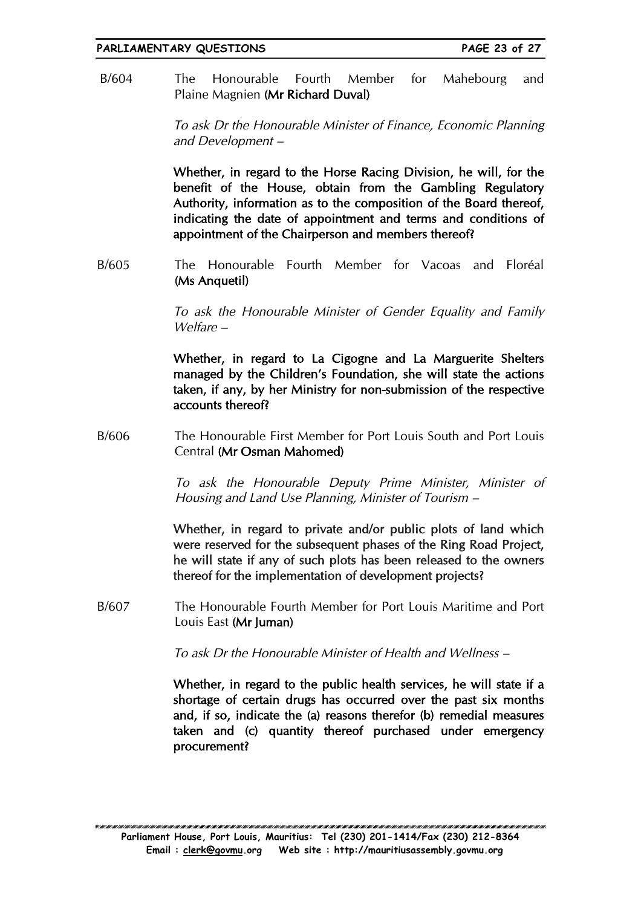B/604 The Honourable Fourth Member for Mahebourg and Plaine Magnien (Mr Richard Duval)

> To ask Dr the Honourable Minister of Finance, Economic Planning and Development –

> Whether, in regard to the Horse Racing Division, he will, for the benefit of the House, obtain from the Gambling Regulatory Authority, information as to the composition of the Board thereof, indicating the date of appointment and terms and conditions of appointment of the Chairperson and members thereof?

B/605 The Honourable Fourth Member for Vacoas and Floréal (Ms Anquetil)

> To ask the Honourable Minister of Gender Equality and Family Welfare –

> Whether, in regard to La Cigogne and La Marguerite Shelters managed by the Children's Foundation, she will state the actions taken, if any, by her Ministry for non-submission of the respective accounts thereof?

B/606 The Honourable First Member for Port Louis South and Port Louis Central (Mr Osman Mahomed)

> To ask the Honourable Deputy Prime Minister, Minister of Housing and Land Use Planning, Minister of Tourism –

> Whether, in regard to private and/or public plots of land which were reserved for the subsequent phases of the Ring Road Project, he will state if any of such plots has been released to the owners thereof for the implementation of development projects?

B/607 The Honourable Fourth Member for Port Louis Maritime and Port Louis East (Mr Juman)

To ask Dr the Honourable Minister of Health and Wellness –

Whether, in regard to the public health services, he will state if a shortage of certain drugs has occurred over the past six months and, if so, indicate the (a) reasons therefor (b) remedial measures taken and (c) quantity thereof purchased under emergency procurement?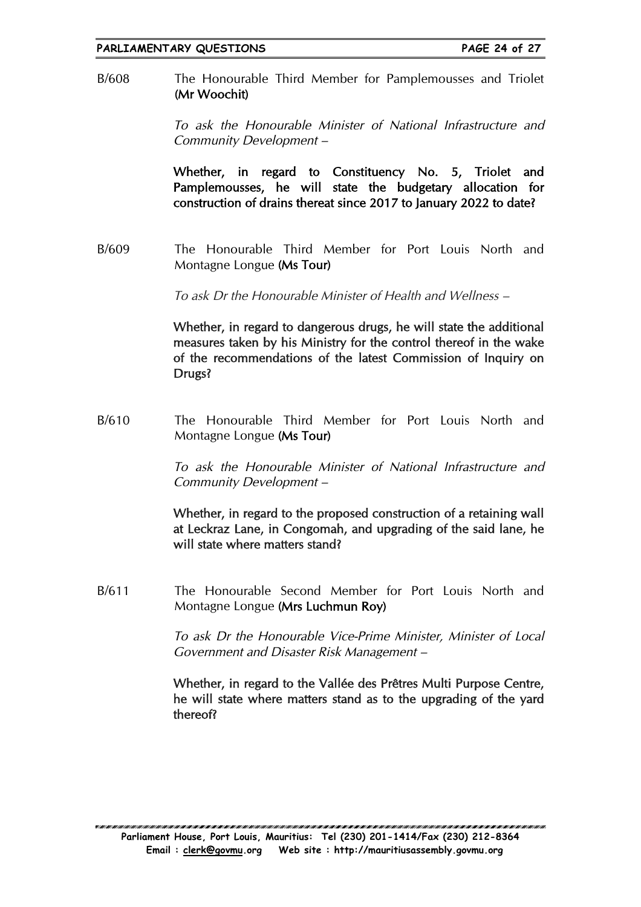B/608 The Honourable Third Member for Pamplemousses and Triolet (Mr Woochit)

> To ask the Honourable Minister of National Infrastructure and Community Development –

> Whether, in regard to Constituency No. 5, Triolet and Pamplemousses, he will state the budgetary allocation for construction of drains thereat since 2017 to January 2022 to date?

B/609 The Honourable Third Member for Port Louis North and Montagne Longue (Ms Tour)

To ask Dr the Honourable Minister of Health and Wellness –

Whether, in regard to dangerous drugs, he will state the additional measures taken by his Ministry for the control thereof in the wake of the recommendations of the latest Commission of Inquiry on Drugs?

B/610 The Honourable Third Member for Port Louis North and Montagne Longue (Ms Tour)

> To ask the Honourable Minister of National Infrastructure and Community Development –

> Whether, in regard to the proposed construction of a retaining wall at Leckraz Lane, in Congomah, and upgrading of the said lane, he will state where matters stand?

B/611 The Honourable Second Member for Port Louis North and Montagne Longue (Mrs Luchmun Roy)

> To ask Dr the Honourable Vice-Prime Minister, Minister of Local Government and Disaster Risk Management –

> Whether, in regard to the Vallée des Prêtres Multi Purpose Centre, he will state where matters stand as to the upgrading of the yard thereof?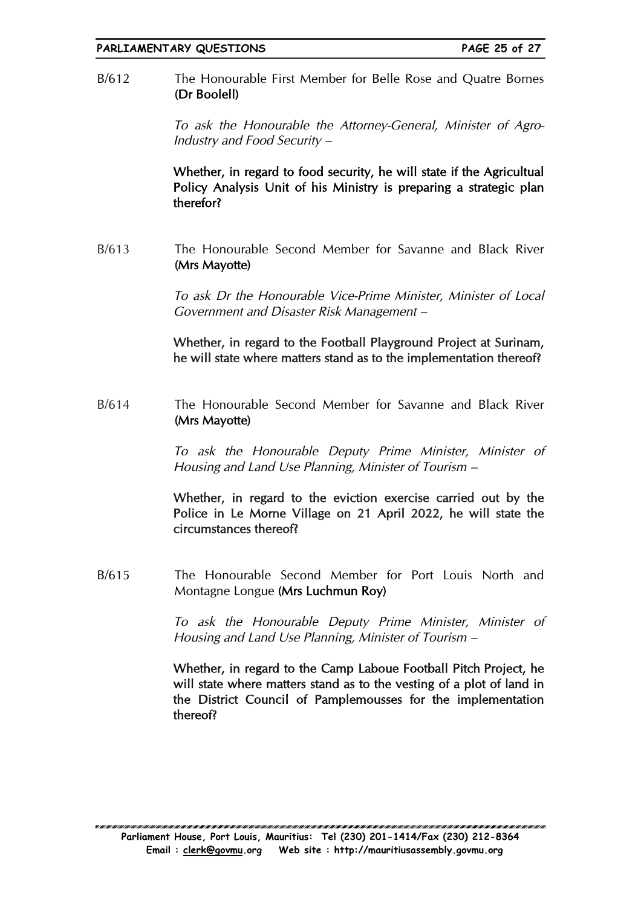### B/612 The Honourable First Member for Belle Rose and Quatre Bornes (Dr Boolell)

To ask the Honourable the Attorney-General, Minister of Agro-Industry and Food Security –

Whether, in regard to food security, he will state if the Agricultual Policy Analysis Unit of his Ministry is preparing a strategic plan therefor?

B/613 The Honourable Second Member for Savanne and Black River (Mrs Mayotte)

> To ask Dr the Honourable Vice-Prime Minister, Minister of Local Government and Disaster Risk Management –

> Whether, in regard to the Football Playground Project at Surinam, he will state where matters stand as to the implementation thereof?

B/614 The Honourable Second Member for Savanne and Black River (Mrs Mayotte)

> To ask the Honourable Deputy Prime Minister, Minister of Housing and Land Use Planning, Minister of Tourism –

> Whether, in regard to the eviction exercise carried out by the Police in Le Morne Village on 21 April 2022, he will state the circumstances thereof?

B/615 The Honourable Second Member for Port Louis North and Montagne Longue (Mrs Luchmun Roy)

> To ask the Honourable Deputy Prime Minister, Minister of Housing and Land Use Planning, Minister of Tourism –

> Whether, in regard to the Camp Laboue Football Pitch Project, he will state where matters stand as to the vesting of a plot of land in the District Council of Pamplemousses for the implementation thereof?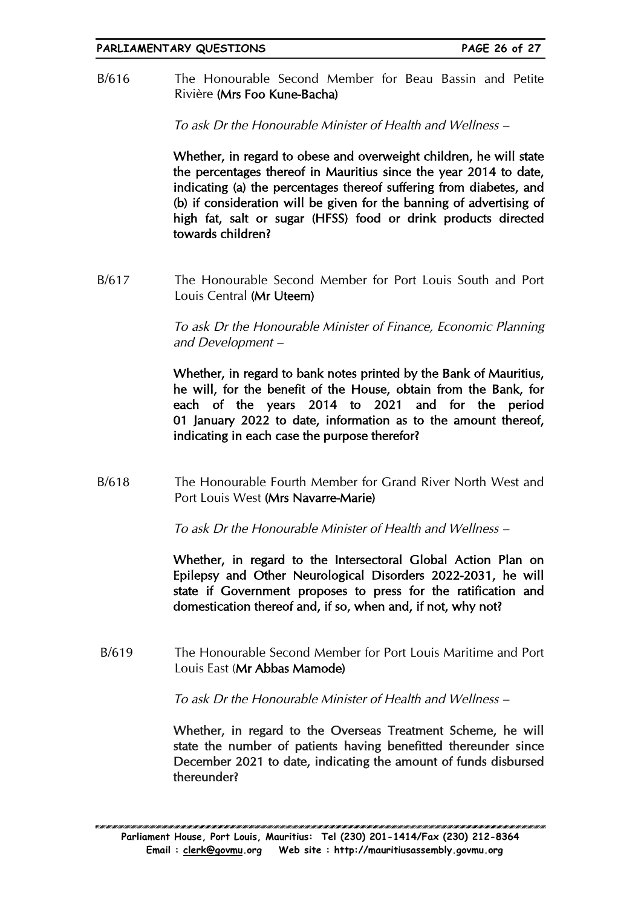B/616 The Honourable Second Member for Beau Bassin and Petite Rivière (Mrs Foo Kune-Bacha)

To ask Dr the Honourable Minister of Health and Wellness –

Whether, in regard to obese and overweight children, he will state the percentages thereof in Mauritius since the year 2014 to date, indicating (a) the percentages thereof suffering from diabetes, and (b) if consideration will be given for the banning of advertising of high fat, salt or sugar (HFSS) food or drink products directed towards children?

B/617 The Honourable Second Member for Port Louis South and Port Louis Central (Mr Uteem)

> To ask Dr the Honourable Minister of Finance, Economic Planning and Development –

> Whether, in regard to bank notes printed by the Bank of Mauritius, he will, for the benefit of the House, obtain from the Bank, for each of the years 2014 to 2021 and for the period 01 January 2022 to date, information as to the amount thereof, indicating in each case the purpose therefor?

B/618 The Honourable Fourth Member for Grand River North West and Port Louis West (Mrs Navarre-Marie)

To ask Dr the Honourable Minister of Health and Wellness –

Whether, in regard to the Intersectoral Global Action Plan on Epilepsy and Other Neurological Disorders 2022-2031, he will state if Government proposes to press for the ratification and domestication thereof and, if so, when and, if not, why not?

B/619 The Honourable Second Member for Port Louis Maritime and Port Louis East (Mr Abbas Mamode)

To ask Dr the Honourable Minister of Health and Wellness –

Whether, in regard to the Overseas Treatment Scheme, he will state the number of patients having benefitted thereunder since December 2021 to date, indicating the amount of funds disbursed thereunder?